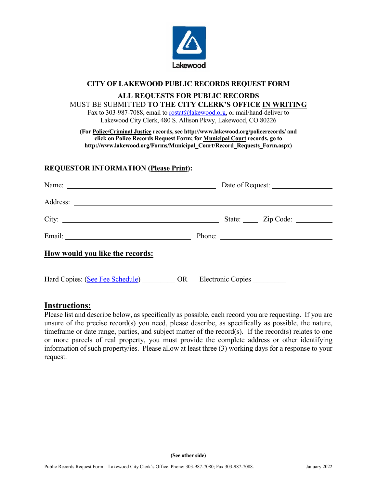

# **CITY OF LAKEWOOD PUBLIC RECORDS REQUEST FORM**

## **ALL REQUESTS FOR PUBLIC RECORDS**

### MUST BE SUBMITTED **TO THE CITY CLERK'S OFFICE IN WRITING** Fax to 303-987-7088, email to  $\text{rostat}(\overline{a}|\text{lakewood.org}, \text{or mail/hand-deliver to}$

Lakewood City Clerk, 480 S. Allison Pkwy, Lakewood, CO 80226

**(For Police/Criminal Justice records, see <http://www.lakewood.org/policerecords/> and click on Police Records Request Form; for Municipal Court records, go to http://www.lakewood.org/Forms/Municipal\_Court/Record\_Requests\_Form.aspx)**

## **REQUESTOR INFORMATION (Please Print):**

| Name:                                                |                         |  |
|------------------------------------------------------|-------------------------|--|
|                                                      |                         |  |
|                                                      | State: <u>Zip Code:</u> |  |
|                                                      | Phone:                  |  |
| How would you like the records:                      |                         |  |
| Hard Copies: (See Fee Schedule) OR Electronic Copies |                         |  |

# **Instructions:**

Please list and describe below, as specifically as possible, each record you are requesting. If you are unsure of the precise record(s) you need, please describe, as specifically as possible, the nature, timeframe or date range, parties, and subject matter of the record(s). If the record(s) relates to one or more parcels of real property, you must provide the complete address or other identifying information of such property/ies. Please allow at least three (3) working days for a response to your request.